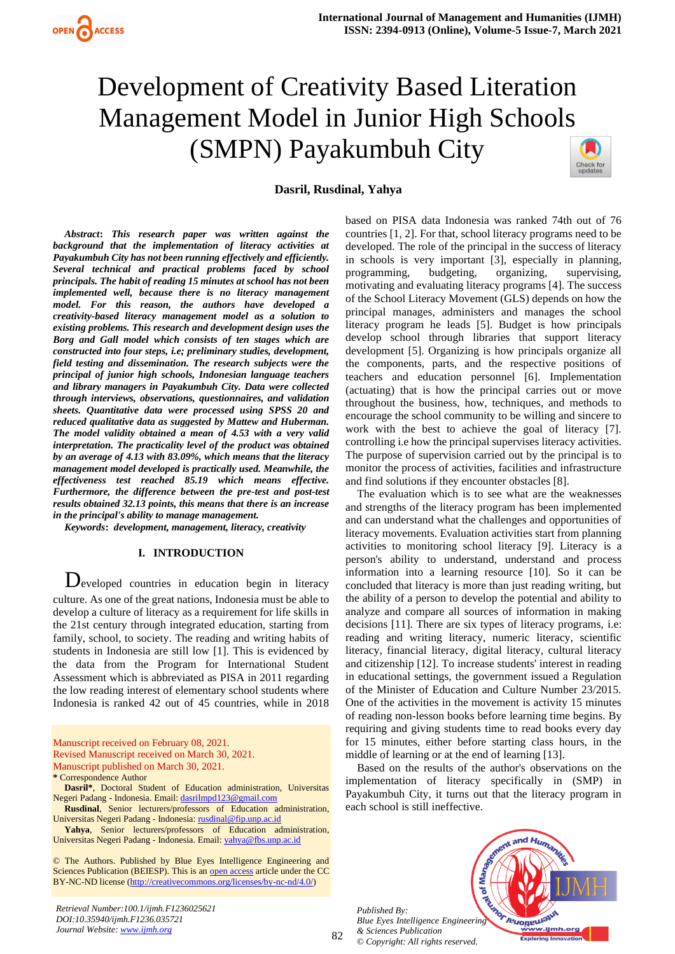# Development of Creativity Based Literation Management Model in Junior High Schools (SMPN) Payakumbuh City



# **Dasril, Rusdinal, Yahya**

*Abstract***:** *This research paper was written against the background that the implementation of literacy activities at Payakumbuh City has not been running effectively and efficiently. Several technical and practical problems faced by school principals. The habit of reading 15 minutes at school has not been implemented well, because there is no literacy management model. For this reason, the authors have developed a creativity-based literacy management model as a solution to existing problems. This research and development design uses the Borg and Gall model which consists of ten stages which are constructed into four steps, i.e; preliminary studies, development, field testing and dissemination. The research subjects were the principal of junior high schools, Indonesian language teachers and library managers in Payakumbuh City. Data were collected through interviews, observations, questionnaires, and validation sheets. Quantitative data were processed using SPSS 20 and reduced qualitative data as suggested by Mattew and Huberman. The model validity obtained a mean of 4.53 with a very valid interpretation. The practicality level of the product was obtained by an average of 4.13 with 83.09%, which means that the literacy management model developed is practically used. Meanwhile, the effectiveness test reached 85.19 which means effective. Furthermore, the difference between the pre-test and post-test results obtained 32.13 points, this means that there is an increase in the principal's ability to manage management.*

*Keywords***:** *development, management, literacy, creativity*

## **I. INTRODUCTION**

Developed countries in education begin in literacy culture. As one of the great nations, Indonesia must be able to develop a culture of literacy as a requirement for life skills in the 21st century through integrated education, starting from family, school, to society. The reading and writing habits of students in Indonesia are still low [1]. This is evidenced by the data from the Program for International Student Assessment which is abbreviated as PISA in 2011 regarding the low reading interest of elementary school students where Indonesia is ranked 42 out of 45 countries, while in 2018

Manuscript received on February 08, 2021. Revised Manuscript received on March 30, 2021. Manuscript published on March 30, 2021. **\*** Correspondence Author

**Dasril\***, Doctoral Student of Education administration, Universitas Negeri Padang - Indonesia. Email[: dasrilmpd123@gmail.com](mailto:dasrilmpd123@gmail.com)

**Rusdinal**, Senior lecturers/professors of Education administration, Universitas Negeri Padang - Indonesia[: rusdinal@fip.unp.ac.id](mailto:rusdinal@fip.unp.ac.id)

**Yahya**, Senior lecturers/professors of Education administration, Universitas Negeri Padang - Indonesia. Email[: yahya@fbs.unp.ac.id](mailto:yahya@fbs.unp.ac.id)

© The Authors. Published by Blue Eyes Intelligence Engineering and Sciences Publication (BEIESP). This is an [open access](https://www.openaccess.nl/en/open-publications) article under the CC BY-NC-ND license [\(http://creativecommons.org/licenses/by-nc-nd/4.0/\)](http://creativecommons.org/licenses/by-nc-nd/4.0/)

based on PISA data Indonesia was ranked 74th out of 76 countries [1, 2]. For that, school literacy programs need to be developed. The role of the principal in the success of literacy in schools is very important [3], especially in planning, programming, budgeting, organizing, supervising, motivating and evaluating literacy programs [4]. The success of the School Literacy Movement (GLS) depends on how the principal manages, administers and manages the school literacy program he leads [5]. Budget is how principals develop school through libraries that support literacy development [5]. Organizing is how principals organize all the components, parts, and the respective positions of teachers and education personnel [6]. Implementation (actuating) that is how the principal carries out or move throughout the business, how, techniques, and methods to encourage the school community to be willing and sincere to work with the best to achieve the goal of literacy [7]. controlling i.e how the principal supervises literacy activities. The purpose of supervision carried out by the principal is to monitor the process of activities, facilities and infrastructure and find solutions if they encounter obstacles [8].

The evaluation which is to see what are the weaknesses and strengths of the literacy program has been implemented and can understand what the challenges and opportunities of literacy movements. Evaluation activities start from planning activities to monitoring school literacy [9]. Literacy is a person's ability to understand, understand and process information into a learning resource [10]. So it can be concluded that literacy is more than just reading writing, but the ability of a person to develop the potential and ability to analyze and compare all sources of information in making decisions [11]. There are six types of literacy programs, i.e: reading and writing literacy, numeric literacy, scientific literacy, financial literacy, digital literacy, cultural literacy and citizenship [12]. To increase students' interest in reading in educational settings, the government issued a Regulation of the Minister of Education and Culture Number 23/2015. One of the activities in the movement is activity 15 minutes of reading non-lesson books before learning time begins. By requiring and giving students time to read books every day for 15 minutes, either before starting class hours, in the middle of learning or at the end of learning [13].

Based on the results of the author's observations on the implementation of literacy specifically in (SMP) in Payakumbuh City, it turns out that the literacy program in each school is still ineffective.

*Published By: Blue Eyes Intelligence Engineering & Sciences Publication © Copyright: All rights reserved.*

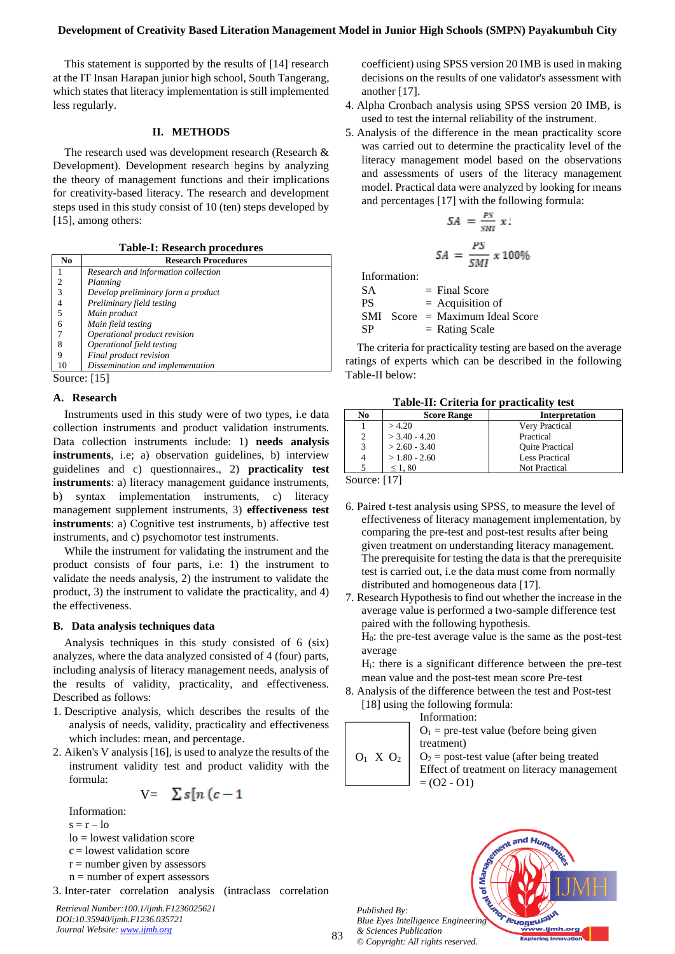This statement is supported by the results of [14] research at the IT Insan Harapan junior high school, South Tangerang, which states that literacy implementation is still implemented less regularly.

# **II. METHODS**

The research used was development research (Research & Development). Development research begins by analyzing the theory of management functions and their implications for creativity-based literacy. The research and development steps used in this study consist of 10 (ten) steps developed by [15], among others:

**Table-I: Research procedures**

| No             | <b>Research Procedures</b>          |  |  |  |  |  |  |  |
|----------------|-------------------------------------|--|--|--|--|--|--|--|
|                | Research and information collection |  |  |  |  |  |  |  |
| $\overline{c}$ | Planning                            |  |  |  |  |  |  |  |
| 3              | Develop preliminary form a product  |  |  |  |  |  |  |  |
| 4              | Preliminary field testing           |  |  |  |  |  |  |  |
| 5              | Main product                        |  |  |  |  |  |  |  |
| 6              | Main field testing                  |  |  |  |  |  |  |  |
| 7              | Operational product revision        |  |  |  |  |  |  |  |
| 8              | Operational field testing           |  |  |  |  |  |  |  |
| 9              | Final product revision              |  |  |  |  |  |  |  |
| 10             | Dissemination and implementation    |  |  |  |  |  |  |  |
| Source: $[15]$ |                                     |  |  |  |  |  |  |  |

### **A. Research**

Instruments used in this study were of two types, i.e data collection instruments and product validation instruments. Data collection instruments include: 1) **needs analysis instruments**, i.e; a) observation guidelines, b) interview guidelines and c) questionnaires., 2) **practicality test instruments**: a) literacy management guidance instruments, b) syntax implementation instruments, c) literacy management supplement instruments, 3) **effectiveness test instruments**: a) Cognitive test instruments, b) affective test instruments, and c) psychomotor test instruments.

While the instrument for validating the instrument and the product consists of four parts, i.e: 1) the instrument to validate the needs analysis, 2) the instrument to validate the product, 3) the instrument to validate the practicality, and 4) the effectiveness.

## **B. Data analysis techniques data**

Analysis techniques in this study consisted of 6 (six) analyzes, where the data analyzed consisted of 4 (four) parts, including analysis of literacy management needs, analysis of the results of validity, practicality, and effectiveness. Described as follows:

- 1. Descriptive analysis, which describes the results of the analysis of needs, validity, practicality and effectiveness which includes: mean, and percentage.
- 2. Aiken's V analysis [16], is used to analyze the results of the instrument validity test and product validity with the formula:

$$
V = \sum s[n (c-1
$$

Information:  $s = r - 10$ 

- $\log$  = lowest validation score
- $c =$  lowest validation score
- $r =$  number given by assessors
- $n =$  number of expert assessors
- 3. Inter-rater correlation analysis (intraclass correlation

*Retrieval Number:100.1/ijmh.F1236025621 DOI:10.35940/ijmh.F1236.035721 Journal Website[: www.ijmh.org](http://www.ijmh.org/)*

coefficient) using SPSS version 20 IMB is used in making decisions on the results of one validator's assessment with another [17].

- 4. Alpha Cronbach analysis using SPSS version 20 IMB, is used to test the internal reliability of the instrument.
- 5. Analysis of the difference in the mean practicality score was carried out to determine the practicality level of the literacy management model based on the observations and assessments of users of the literacy management model. Practical data were analyzed by looking for means and percentages [17] with the following formula:

$$
SA = \frac{PS}{SM} x
$$
\n
$$
SA = \frac{PS}{SMI} x 100\%
$$

Information:

| SА | $=$ Final Score                   |
|----|-----------------------------------|
| PS | $=$ Acquisition of                |
|    | $SMI$ Score = Maximum Ideal Score |
| SP | $=$ Rating Scale                  |

The criteria for practicality testing are based on the average ratings of experts which can be described in the following Table-II below:

| No | <b>Score Range</b> | <b>Interpretation</b>  |  |  |  |  |  |  |  |
|----|--------------------|------------------------|--|--|--|--|--|--|--|
|    | >4.20              | Very Practical         |  |  |  |  |  |  |  |
| 2  | $>$ 3.40 - 4.20    | Practical              |  |  |  |  |  |  |  |
| 3  | $> 2.60 - 3.40$    | <b>Ouite Practical</b> |  |  |  |  |  |  |  |
|    | $>1.80 - 2.60$     | <b>Less Practical</b>  |  |  |  |  |  |  |  |
|    | $\leq 1.80$        | <b>Not Practical</b>   |  |  |  |  |  |  |  |
|    |                    |                        |  |  |  |  |  |  |  |

**Table-II: Criteria for practicality test**

Source: [17]

- 6. Paired t-test analysis using SPSS, to measure the level of effectiveness of literacy management implementation, by comparing the pre-test and post-test results after being given treatment on understanding literacy management. The prerequisite for testing the data is that the prerequisite test is carried out, i.e the data must come from normally distributed and homogeneous data [17].
- 7. Research Hypothesis to find out whether the increase in the average value is performed a two-sample difference test paired with the following hypothesis.

H0: the pre-test average value is the same as the post-test average

- Hi: there is a significant difference between the pre-test mean value and the post-test mean score Pre-test
- 8. Analysis of the difference between the test and Post-test [18] using the following formula:

 $O_1$  X  $O_2$ Information:  $O_1$  = pre-test value (before being given treatment)  $O<sub>2</sub>$  = post-test value (after being treated Effect of treatment on literacy management  $= (O2 - O1)$ 

*Published By: Blue Eyes Intelligence Engineering & Sciences Publication © Copyright: All rights reserved.*



83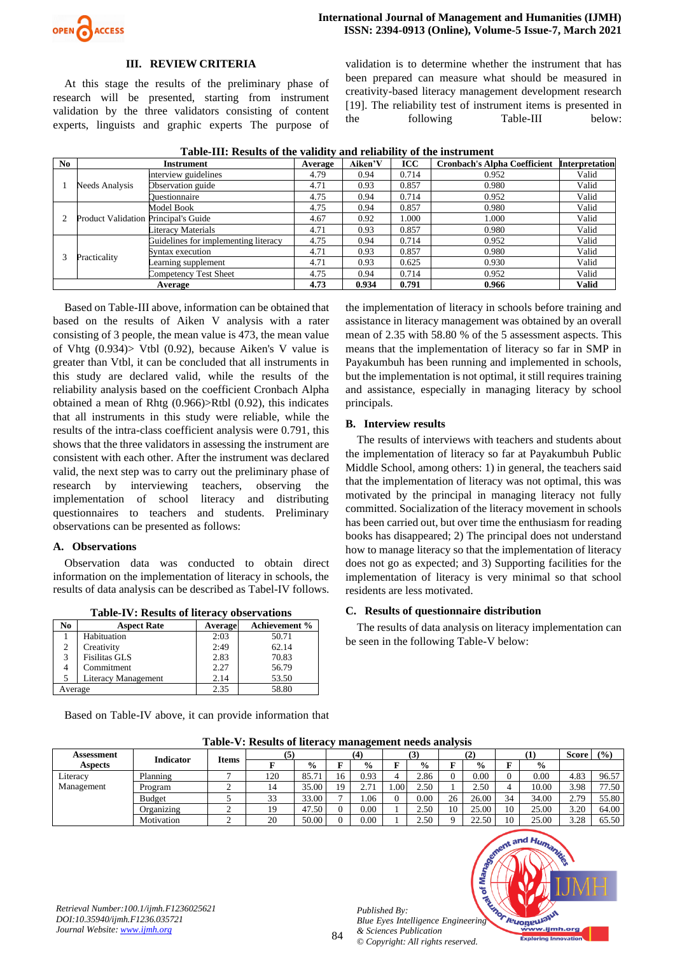

## **III. REVIEW CRITERIA**

At this stage the results of the preliminary phase of research will be presented, starting from instrument validation by the three validators consisting of content experts, linguists and graphic experts The purpose of

validation is to determine whether the instrument that has been prepared can measure what should be measured in creativity-based literacy management development research [19]. The reliability test of instrument items is presented in the following Table-III below:

|         | Tubic III, Results of the vanuity and renability of the mistrament |                                      |         |         |            |                                     |                       |  |  |  |
|---------|--------------------------------------------------------------------|--------------------------------------|---------|---------|------------|-------------------------------------|-----------------------|--|--|--|
| No      |                                                                    | Instrument                           | Average | Aiken'V | <b>ICC</b> | <b>Cronbach's Alpha Coefficient</b> | <b>Interpretation</b> |  |  |  |
|         |                                                                    | interview guidelines                 | 4.79    | 0.94    | 0.714      | 0.952                               | Valid                 |  |  |  |
|         | Needs Analysis                                                     | Observation guide                    | 4.71    | 0.93    | 0.857      | 0.980                               | Valid                 |  |  |  |
|         |                                                                    | <b>Duestionnaire</b>                 | 4.75    | 0.94    | 0.714      | 0.952                               | Valid                 |  |  |  |
|         |                                                                    | Model Book                           | 4.75    | 0.94    | 0.857      | 0.980                               | Valid                 |  |  |  |
|         | <b>Product Validation Principal's Guide</b>                        |                                      | 4.67    | 0.92    | 1.000      | 1.000                               | Valid                 |  |  |  |
|         |                                                                    | Literacy Materials                   | 4.71    | 0.93    | 0.857      | 0.980                               | Valid                 |  |  |  |
|         |                                                                    | Guidelines for implementing literacy | 4.75    | 0.94    | 0.714      | 0.952                               | Valid                 |  |  |  |
|         |                                                                    | Syntax execution                     | 4.71    | 0.93    | 0.857      | 0.980                               | Valid                 |  |  |  |
|         | Practicality                                                       | earning supplement                   | 4.71    | 0.93    | 0.625      | 0.930                               | Valid                 |  |  |  |
|         |                                                                    | Competency Test Sheet                | 4.75    | 0.94    | 0.714      | 0.952                               | Valid                 |  |  |  |
| Average |                                                                    |                                      | 4.73    | 0.934   | 0.791      | 0.966                               | <b>Valid</b>          |  |  |  |

**Table-III: Results of the validity and reliability of the instrument**

Based on Table-III above, information can be obtained that based on the results of Aiken V analysis with a rater consisting of 3 people, the mean value is 473, the mean value of Vhtg (0.934)> Vtbl (0.92), because Aiken's V value is greater than Vtbl, it can be concluded that all instruments in this study are declared valid, while the results of the reliability analysis based on the coefficient Cronbach Alpha obtained a mean of Rhtg (0.966)>Rtbl (0.92), this indicates that all instruments in this study were reliable, while the results of the intra-class coefficient analysis were 0.791, this shows that the three validators in assessing the instrument are consistent with each other. After the instrument was declared valid, the next step was to carry out the preliminary phase of research by interviewing teachers, observing the implementation of school literacy and distributing questionnaires to teachers and students. Preliminary observations can be presented as follows:

## **A. Observations**

Observation data was conducted to obtain direct information on the implementation of literacy in schools, the results of data analysis can be described as Tabel-IV follows.

**Table-IV: Results of literacy observations**

| No             | <b>Aspect Rate</b>         | <b>Average</b> | <b>Achievement %</b> |
|----------------|----------------------------|----------------|----------------------|
|                | Habituation                | 2:03           | 50.71                |
| $\overline{2}$ | Creativity                 | 2:49           | 62.14                |
| 3              | <b>Fisilitas GLS</b>       | 2.83           | 70.83                |
|                | Commitment                 | 2.27           | 56.79                |
|                | <b>Literacy Management</b> | 2.14           | 53.50                |
| Average        |                            | 2.35           | 58.80                |

Based on Table-IV above, it can provide information that

the implementation of literacy in schools before training and assistance in literacy management was obtained by an overall mean of 2.35 with 58.80 % of the 5 assessment aspects. This means that the implementation of literacy so far in SMP in Payakumbuh has been running and implemented in schools, but the implementation is not optimal, it still requires training and assistance, especially in managing literacy by school principals.

#### **B. Interview results**

The results of interviews with teachers and students about the implementation of literacy so far at Payakumbuh Public Middle School, among others: 1) in general, the teachers said that the implementation of literacy was not optimal, this was motivated by the principal in managing literacy not fully committed. Socialization of the literacy movement in schools has been carried out, but over time the enthusiasm for reading books has disappeared; 2) The principal does not understand how to manage literacy so that the implementation of literacy does not go as expected; and 3) Supporting facilities for the implementation of literacy is very minimal so that school residents are less motivated.

### **C. Results of questionnaire distribution**

The results of data analysis on literacy implementation can be seen in the following Table-V below:

| Table-V: Results of interacy management needs analysis |                  |              |     |               |     |               |                  |               |    |               |    |               |       |       |
|--------------------------------------------------------|------------------|--------------|-----|---------------|-----|---------------|------------------|---------------|----|---------------|----|---------------|-------|-------|
| Assessment                                             |                  |              | (5) |               |     | (4)           |                  | $\mathbf{J}$  |    | (2            |    |               | Score | (9/0) |
| <b>Aspects</b>                                         | <b>Indicator</b> | <b>Items</b> |     | $\frac{0}{0}$ |     | $\frac{0}{0}$ |                  | $\frac{0}{0}$ | г  | $\frac{0}{0}$ | F  | $\frac{6}{9}$ |       |       |
| Literacy                                               | Planning         |              | 120 | 85.71         | 16. | 0.93          |                  | 2.86          |    | 0.00          |    | 0.00          | 4.83  | 96.57 |
| Management                                             | Program          |              |     | 35.00         | 19. | 2.71          | .00 <sup>1</sup> | 2.50          |    | 2.50          |    | 10.00         | 3.98  | 77.50 |
|                                                        | Budget           |              | 33  | 33.00         |     | .06           |                  | 0.00          | 26 | 26.00         | 34 | 34.00         | 2.79  | 55.80 |
|                                                        | Organizing       |              |     | 47.50         |     | 0.001         |                  | 2.50          | 10 | 25.00         | 10 | 25.00         | 3.20  | 64.00 |
|                                                        | Motivation       |              | 20  | 50.00         |     | 0.001         |                  | 2.50          |    | 22.50         | 10 | 25.00         | 3.28  | 65.50 |

**Table-V: Results of literacy management needs analysis**



*Published By:*

*& Sciences Publication*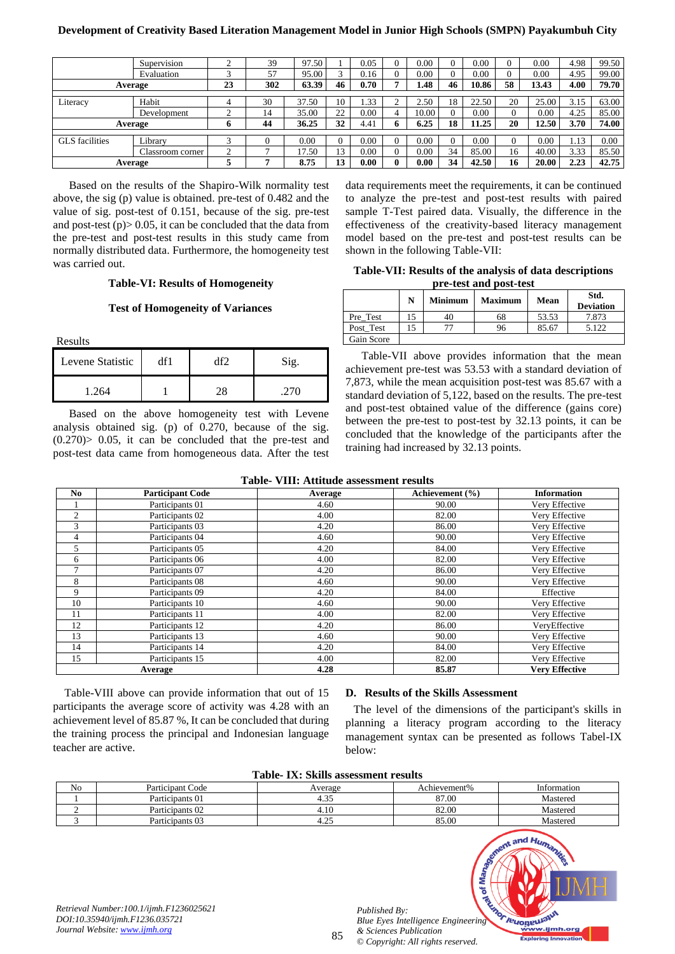# **Development of Creativity Based Literation Management Model in Junior High Schools (SMPN) Payakumbuh City**

|                       | Supervision      | $\sim$     | 39  | 97.50 |    | 0.05     |   | 0.00  |    | 0.00  |          | 0.00  | 4.98 | 99.50 |
|-----------------------|------------------|------------|-----|-------|----|----------|---|-------|----|-------|----------|-------|------|-------|
|                       | Evaluation       | $\sqrt{2}$ | 57  | 95.00 |    | 0.16     |   | 0.00  |    | 0.00  |          | 0.00  | 4.95 | 99.00 |
|                       | Average          | 23         | 302 | 63.39 | 46 | 0.70     |   | l.48  | 46 | 10.86 | 58       | 13.43 | 4.00 | 79.70 |
|                       |                  |            |     |       |    |          |   |       |    |       |          |       |      |       |
| Literacy              | Habit            | 4          | 30  | 37.50 | 10 | 1.33     |   | 2.50  | 18 | 22.50 | 20       | 25.00 | 3.15 | 63.00 |
|                       | Development      |            | 14  | 35.00 | 22 | 0.00     |   | 10.00 |    | 0.00  | $\theta$ | 0.00  | 4.25 | 85.00 |
|                       | Average          | o          | 44  | 36.25 | 32 | 4.41     |   | 6.25  | 18 | 11.25 | 20       | 12.50 | 3.70 | 74.00 |
|                       |                  |            |     |       |    |          |   |       |    |       |          |       |      |       |
| <b>GLS</b> facilities | Library          |            |     | 0.00  |    | 0.00     |   | 0.00  | U  | 0.00  | v        | 0.00  | 1.13 | 0.00  |
|                       | Classroom corner | ◠<br>∠     |     | 7.50  | 13 | $0.00\,$ |   | 0.00  | 34 | 85.00 | 16       | 40.00 | 3.33 | 85.50 |
|                       | Average          |            |     | 8.75  | 13 | 0.00     | 0 | 0.00  | 34 | 42.50 | 16       | 20.00 | 2.23 | 42.75 |

Based on the results of the Shapiro-Wilk normality test above, the sig (p) value is obtained. pre-test of 0.482 and the value of sig. post-test of 0.151, because of the sig. pre-test and post-test  $(p)$  > 0.05, it can be concluded that the data from the pre-test and post-test results in this study came from normally distributed data. Furthermore, the homogeneity test was carried out.

#### **Table-VI: Results of Homogeneity**

#### **Test of Homogeneity of Variances**

Results

| Levene Statistic |  |  |
|------------------|--|--|
| .264             |  |  |

Based on the above homogeneity test with Levene analysis obtained sig. (p) of 0.270, because of the sig.  $(0.270)$  > 0.05, it can be concluded that the pre-test and post-test data came from homogeneous data. After the test

data requirements meet the requirements, it can be continued to analyze the pre-test and post-test results with paired sample T-Test paired data. Visually, the difference in the effectiveness of the creativity-based literacy management model based on the pre-test and post-test results can be shown in the following Table-VII:

**Table-VII: Results of the analysis of data descriptions pre-test and post-test**

|            | N | <b>Minimum</b> | <b>Maximum</b> | Mean  | Std.<br><b>Deviation</b> |
|------------|---|----------------|----------------|-------|--------------------------|
| Pre Test   |   | 40             | 68             | 53.53 | 7.873                    |
| Post Test  |   |                | 96             | 85.67 | 5.122                    |
| Gain Score |   |                |                |       |                          |

Table-VII above provides information that the mean achievement pre-test was 53.53 with a standard deviation of 7,873, while the mean acquisition post-test was 85.67 with a standard deviation of 5,122, based on the results. The pre-test and post-test obtained value of the difference (gains core) between the pre-test to post-test by 32.13 points, it can be concluded that the knowledge of the participants after the training had increased by 32.13 points.

| No.            | <b>Participant Code</b> | Average | Achievement (%) | <b>Information</b>    |
|----------------|-------------------------|---------|-----------------|-----------------------|
|                | Participants 01         | 4.60    | 90.00           | Very Effective        |
| 2              | Participants 02         | 4.00    | 82.00           | Very Effective        |
| 3              | Participants 03         | 4.20    | 86.00           | Very Effective        |
| 4              | Participants 04         | 4.60    | 90.00           | Very Effective        |
| 5              | Participants 05         | 4.20    | 84.00           | Very Effective        |
| 6              | Participants 06         | 4.00    | 82.00           | Very Effective        |
| $\overline{7}$ | Participants 07         | 4.20    | 86.00           | Very Effective        |
| 8              | Participants 08         | 4.60    | 90.00           | Very Effective        |
| 9              | Participants 09         | 4.20    | 84.00           | Effective             |
| 10             | Participants 10         | 4.60    | 90.00           | Very Effective        |
| 11             | Participants 11         | 4.00    | 82.00           | Very Effective        |
| 12             | Participants 12         | 4.20    | 86.00           | VeryEffective         |
| 13             | Participants 13         | 4.60    | 90.00           | Very Effective        |
| 14             | Participants 14         | 4.20    | 84.00           | Very Effective        |
| 15             | Participants 15         | 4.00    | 82.00           | Very Effective        |
|                | Average                 | 4.28    | 85.87           | <b>Very Effective</b> |

Table-VIII above can provide information that out of 15 participants the average score of activity was 4.28 with an achievement level of 85.87 %, It can be concluded that during the training process the principal and Indonesian language teacher are active.

#### **D. Results of the Skills Assessment**

The level of the dimensions of the participant's skills in planning a literacy program according to the literacy management syntax can be presented as follows Tabel-IX below:

|  | Table- IX: Skills assessment results |
|--|--------------------------------------|
|--|--------------------------------------|

| Table- IA. SKIIIS assessment results                                                                       |                  |         |                                                                                                                          |                                                                                     |  |  |  |  |
|------------------------------------------------------------------------------------------------------------|------------------|---------|--------------------------------------------------------------------------------------------------------------------------|-------------------------------------------------------------------------------------|--|--|--|--|
| N <sub>o</sub>                                                                                             | Participant Code | Average | Achievement%                                                                                                             | Information                                                                         |  |  |  |  |
|                                                                                                            | Participants 01  | 4.35    | 87.00                                                                                                                    | Mastered                                                                            |  |  |  |  |
| ◠                                                                                                          | Participants 02  | 4.10    | 82.00                                                                                                                    | Mastered                                                                            |  |  |  |  |
| 3                                                                                                          | Participants 03  | 4.25    | 85.00                                                                                                                    | Mastered                                                                            |  |  |  |  |
| Retrieval Number:100.1/ijmh.F1236025621<br>DOI:10.35940/ijmh.F1236.035721<br>Journal Website: www.ijmh.org |                  | 85      | ۴.<br>Published By:<br>Blue Eyes Intelligence Engineering<br>& Sciences Publication<br>© Copyright: All rights reserved. | Sment and Humanize<br>REMORPHADELISH<br>www.ijmh.org<br><b>Exploring Innovation</b> |  |  |  |  |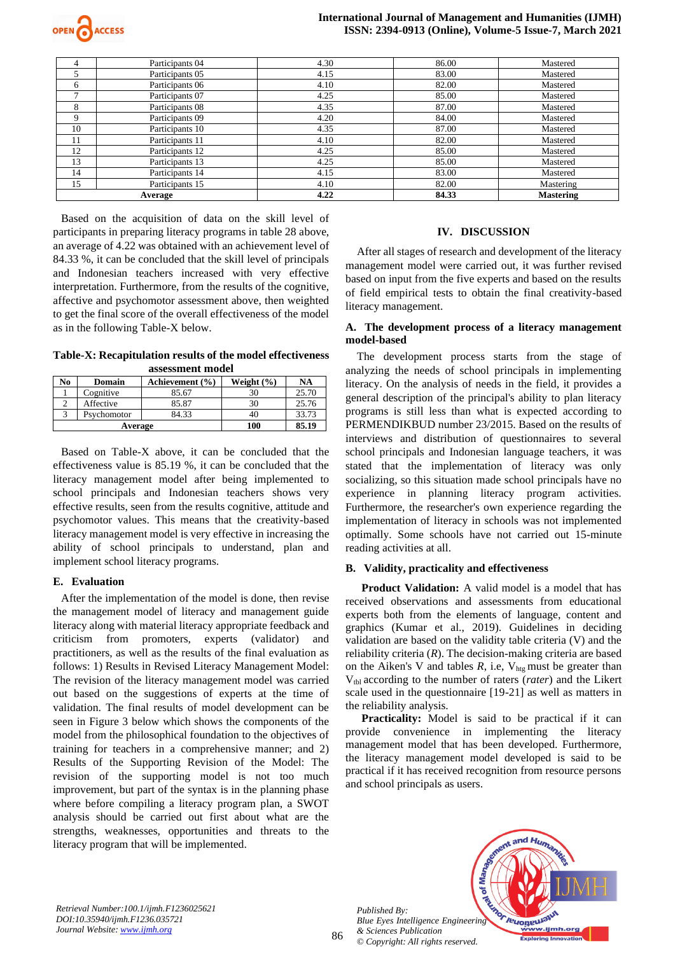

| 4            | Participants 04 | 4.30 | 86.00 | Mastered         |
|--------------|-----------------|------|-------|------------------|
|              | Participants 05 | 4.15 | 83.00 | Mastered         |
| 6            | Participants 06 | 4.10 | 82.00 | Mastered         |
| $\mathbf{r}$ | Participants 07 | 4.25 | 85.00 | Mastered         |
| 8            | Participants 08 | 4.35 | 87.00 | Mastered         |
| 9            | Participants 09 | 4.20 | 84.00 | Mastered         |
| 10           | Participants 10 | 4.35 | 87.00 | Mastered         |
| 11           | Participants 11 | 4.10 | 82.00 | Mastered         |
| 12           | Participants 12 | 4.25 | 85.00 | Mastered         |
| 13           | Participants 13 | 4.25 | 85.00 | Mastered         |
| 14           | Participants 14 | 4.15 | 83.00 | Mastered         |
| 15           | Participants 15 | 4.10 | 82.00 | Mastering        |
| Average      |                 | 4.22 | 84.33 | <b>Mastering</b> |

Based on the acquisition of data on the skill level of participants in preparing literacy programs in table 28 above, an average of 4.22 was obtained with an achievement level of 84.33 %, it can be concluded that the skill level of principals and Indonesian teachers increased with very effective interpretation. Furthermore, from the results of the cognitive, affective and psychomotor assessment above, then weighted to get the final score of the overall effectiveness of the model as in the following Table-X below.

**Table-X: Recapitulation results of the model effectiveness assessment model**

| No      | Domain      | Achievement (%) | Weight $(\% )$ | <b>NA</b> |
|---------|-------------|-----------------|----------------|-----------|
|         | Cognitive   | 85.67           | 30             | 25.70     |
|         | Affective   | 85.87           | 30             | 25.76     |
|         | Psychomotor | 84.33           | 40             | 33.73     |
| Average |             |                 | 100            | 85.19     |

Based on Table-X above, it can be concluded that the effectiveness value is 85.19 %, it can be concluded that the literacy management model after being implemented to school principals and Indonesian teachers shows very effective results, seen from the results cognitive, attitude and psychomotor values. This means that the creativity-based literacy management model is very effective in increasing the ability of school principals to understand, plan and implement school literacy programs.

## **E. Evaluation**

After the implementation of the model is done, then revise the management model of literacy and management guide literacy along with material literacy appropriate feedback and criticism from promoters, experts (validator) and practitioners, as well as the results of the final evaluation as follows: 1) Results in Revised Literacy Management Model: The revision of the literacy management model was carried out based on the suggestions of experts at the time of validation. The final results of model development can be seen in Figure 3 below which shows the components of the model from the philosophical foundation to the objectives of training for teachers in a comprehensive manner; and 2) Results of the Supporting Revision of the Model: The revision of the supporting model is not too much improvement, but part of the syntax is in the planning phase where before compiling a literacy program plan, a SWOT analysis should be carried out first about what are the strengths, weaknesses, opportunities and threats to the literacy program that will be implemented.

## **IV. DISCUSSION**

After all stages of research and development of the literacy management model were carried out, it was further revised based on input from the five experts and based on the results of field empirical tests to obtain the final creativity-based literacy management.

# **A. The development process of a literacy management model-based**

The development process starts from the stage of analyzing the needs of school principals in implementing literacy. On the analysis of needs in the field, it provides a general description of the principal's ability to plan literacy programs is still less than what is expected according to PERMENDIKBUD number 23/2015. Based on the results of interviews and distribution of questionnaires to several school principals and Indonesian language teachers, it was stated that the implementation of literacy was only socializing, so this situation made school principals have no experience in planning literacy program activities. Furthermore, the researcher's own experience regarding the implementation of literacy in schools was not implemented optimally. Some schools have not carried out 15-minute reading activities at all.

## **B. Validity, practicality and effectiveness**

**Product Validation:** A valid model is a model that has received observations and assessments from educational experts both from the elements of language, content and graphics (Kumar et al., 2019). Guidelines in deciding validation are based on the validity table criteria (V) and the reliability criteria (*R*). The decision-making criteria are based on the Aiken's V and tables  $R$ , i.e,  $V_{hte}$  must be greater than Vtbl according to the number of raters (*rater*) and the Likert scale used in the questionnaire [19-21] as well as matters in the reliability analysis.

**Practicality:** Model is said to be practical if it can provide convenience in implementing the literacy management model that has been developed. Furthermore, the literacy management model developed is said to be practical if it has received recognition from resource persons and school principals as users.

*Published By: Blue Eyes Intelligence Engineering & Sciences Publication © Copyright: All rights reserved.*



*Retrieval Number:100.1/ijmh.F1236025621 DOI:10.35940/ijmh.F1236.035721 Journal Website[: www.ijmh.org](http://www.ijmh.org/)*

86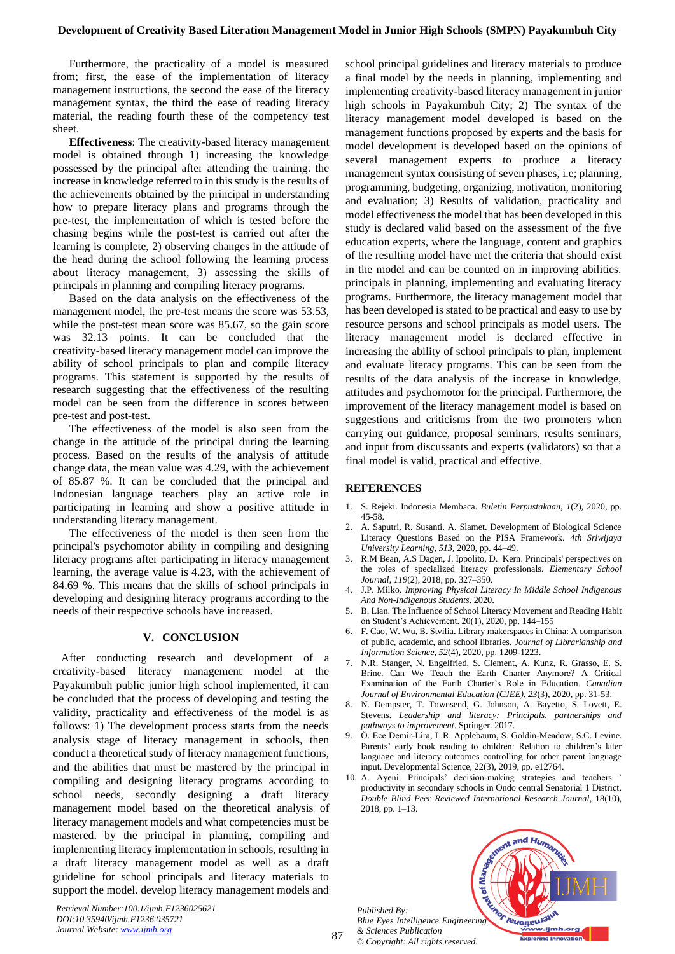Furthermore, the practicality of a model is measured from; first, the ease of the implementation of literacy management instructions, the second the ease of the literacy management syntax, the third the ease of reading literacy material, the reading fourth these of the competency test sheet.

**Effectiveness**: The creativity-based literacy management model is obtained through 1) increasing the knowledge possessed by the principal after attending the training. the increase in knowledge referred to in this study is the results of the achievements obtained by the principal in understanding how to prepare literacy plans and programs through the pre-test, the implementation of which is tested before the chasing begins while the post-test is carried out after the learning is complete, 2) observing changes in the attitude of the head during the school following the learning process about literacy management, 3) assessing the skills of principals in planning and compiling literacy programs.

Based on the data analysis on the effectiveness of the management model, the pre-test means the score was 53.53. while the post-test mean score was 85.67, so the gain score was 32.13 points. It can be concluded that the creativity-based literacy management model can improve the ability of school principals to plan and compile literacy programs. This statement is supported by the results of research suggesting that the effectiveness of the resulting model can be seen from the difference in scores between pre-test and post-test.

The effectiveness of the model is also seen from the change in the attitude of the principal during the learning process. Based on the results of the analysis of attitude change data, the mean value was 4.29, with the achievement of 85.87 %. It can be concluded that the principal and Indonesian language teachers play an active role in participating in learning and show a positive attitude in understanding literacy management.

The effectiveness of the model is then seen from the principal's psychomotor ability in compiling and designing literacy programs after participating in literacy management learning, the average value is 4.23, with the achievement of 84.69 %. This means that the skills of school principals in developing and designing literacy programs according to the needs of their respective schools have increased.

# **V. CONCLUSION**

After conducting research and development of a creativity-based literacy management model at the Payakumbuh public junior high school implemented, it can be concluded that the process of developing and testing the validity, practicality and effectiveness of the model is as follows: 1) The development process starts from the needs analysis stage of literacy management in schools, then conduct a theoretical study of literacy management functions, and the abilities that must be mastered by the principal in compiling and designing literacy programs according to school needs, secondly designing a draft literacy management model based on the theoretical analysis of literacy management models and what competencies must be mastered. by the principal in planning, compiling and implementing literacy implementation in schools, resulting in a draft literacy management model as well as a draft guideline for school principals and literacy materials to support the model. develop literacy management models and a final model by the needs in planning, implementing and implementing creativity-based literacy management in junior high schools in Payakumbuh City; 2) The syntax of the literacy management model developed is based on the management functions proposed by experts and the basis for model development is developed based on the opinions of several management experts to produce a literacy management syntax consisting of seven phases, i.e; planning, programming, budgeting, organizing, motivation, monitoring and evaluation; 3) Results of validation, practicality and model effectiveness the model that has been developed in this study is declared valid based on the assessment of the five education experts, where the language, content and graphics of the resulting model have met the criteria that should exist in the model and can be counted on in improving abilities. principals in planning, implementing and evaluating literacy programs. Furthermore, the literacy management model that has been developed is stated to be practical and easy to use by resource persons and school principals as model users. The literacy management model is declared effective in increasing the ability of school principals to plan, implement and evaluate literacy programs. This can be seen from the results of the data analysis of the increase in knowledge, attitudes and psychomotor for the principal. Furthermore, the improvement of the literacy management model is based on suggestions and criticisms from the two promoters when carrying out guidance, proposal seminars, results seminars, and input from discussants and experts (validators) so that a

school principal guidelines and literacy materials to produce

# **REFERENCES**

1. S. Rejeki. Indonesia Membaca. *Buletin Perpustakaan*, *1*(2), 2020, pp. 45-58.

final model is valid, practical and effective.

- 2. A. Saputri, R. Susanti, A. Slamet. Development of Biological Science Literacy Questions Based on the PISA Framework. *4th Sriwijaya University Learning*, *513*, 2020, pp. 44–49.
- 3. R.M Bean, A.S Dagen, J. Ippolito, D. Kern. Principals' perspectives on the roles of specialized literacy professionals. *Elementary School Journal*, *119*(2), 2018, pp. 327–350.
- 4. J.P. Milko. *Improving Physical Literacy In Middle School Indigenous And Non-Indigenous Students*. 2020.
- 5. B. Lian. The Influence of School Literacy Movement and Reading Habit on Student's Achievement. 20(1), 2020, pp. 144–155
- 6. F. Cao, W. Wu, B. Stvilia. Library makerspaces in China: A comparison of public, academic, and school libraries. *Journal of Librarianship and Information Science*, *52*(4), 2020, pp. 1209-1223.
- 7. N.R. Stanger, N. Engelfried, S. Clement, A. Kunz, R. Grasso, E. S. Brine. Can We Teach the Earth Charter Anymore? A Critical Examination of the Earth Charter's Role in Education. *Canadian Journal of Environmental Education (CJEE)*, *23*(3), 2020, pp. 31-53.
- 8. N. Dempster, T. Townsend, G. Johnson, A. Bayetto, S. Lovett, E. Stevens. *Leadership and literacy: Principals, partnerships and pathways to improvement*. Springer. 2017.
- 9. Ö. Ece Demir‐Lira, L.R. Applebaum, S. Goldin‐Meadow, S.C. Levine. Parents' early book reading to children: Relation to children's later language and literacy outcomes controlling for other parent language input. Developmental Science, 22(3), 2019, pp. e12764.
- 10. A. Ayeni. Principals' decision-making strategies and teachers ' productivity in secondary schools in Ondo central Senatorial 1 District. *Double Blind Peer Reviewed International Research Journal*, 18(10), 2018, pp. 1–13.

and Hum

hor revolution

ww.ijmh.org **<u>oring Innovat</u>** 

*Published By: Blue Eyes Intelligence Engineering & Sciences Publication © Copyright: All rights reserved.*